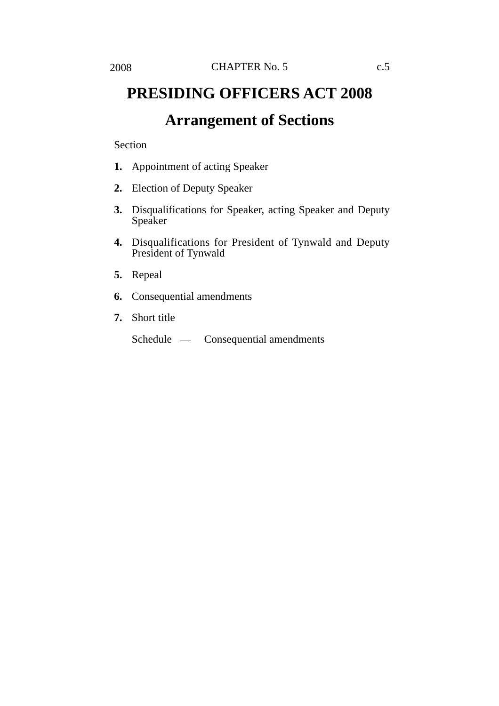# **PRESIDING OFFICERS ACT 2008 Arrangement of Sections**

#### Section

- **1.** Appointment of acting Speaker
- **2.** Election of Deputy Speaker
- **3.** Disqualifications for Speaker, acting Speaker and Deputy Speaker
- **4.** Disqualifications for President of Tynwald and Deputy President of Tynwald
- **5.** Repeal
- **6.** Consequential amendments
- **7.** Short title

Schedule — Consequential amendments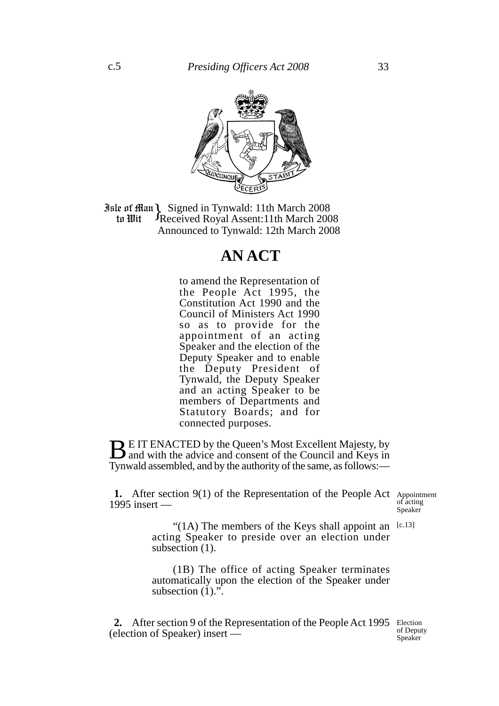

**Jule of Han Signed in Tynwald: 11th March 2008**<br>**10 In Wit** Freceived Royal Assent: 11th March 200 Received Royal Assent:11th March 2008 Announced to Tynwald: 12th March 2008 to Wit

## **AN ACT**

to amend the Representation of the People Act 1995, the Constitution Act 1990 and the Council of Ministers Act 1990 so as to provide for the appointment of an acting Speaker and the election of the Deputy Speaker and to enable the Deputy President of Tynwald, the Deputy Speaker and an acting Speaker to be members of Departments and Statutory Boards; and for connected purposes.

**BE IT ENACTED by the Queen's Most Excellent Majesty, by** and with the advice and consent of the Council and Keys in Tynwald assembled, and by the authority of the same, as follows:—

1. After section 9(1) of the Representation of the People Act Appointment 1995 insert —

of acting Speaker

"(1A) The members of the Keys shall appoint an  $[c.13]$ acting Speaker to preside over an election under subsection (1).

(1B) The office of acting Speaker terminates automatically upon the election of the Speaker under subsection  $(1)$ .".

2. After section 9 of the Representation of the People Act 1995 Election (election of Speaker) insert —

of Deputy Speaker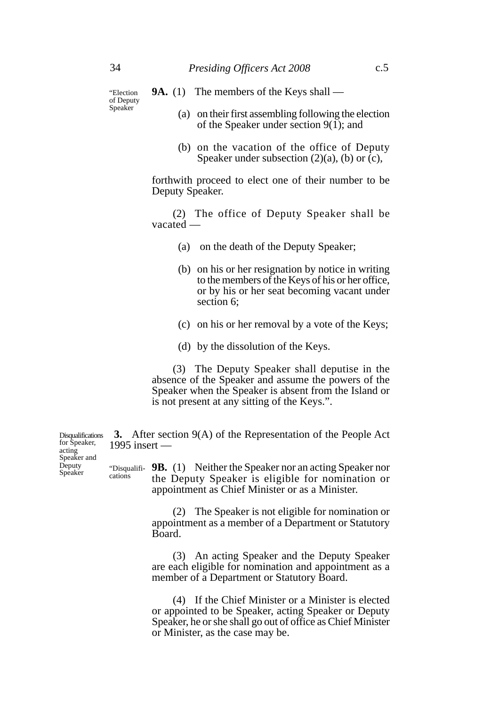"Election of Deputy Speaker

### **9A.** (1) The members of the Keys shall —

- (a) on their first assembling following the election of the Speaker under section  $9(1)$ ; and
- (b) on the vacation of the office of Deputy Speaker under subsection  $(2)(a)$ ,  $(b)$  or  $(c)$ ,

forthwith proceed to elect one of their number to be Deputy Speaker.

(2) The office of Deputy Speaker shall be vacated —

- (a) on the death of the Deputy Speaker;
- (b) on his or her resignation by notice in writing to the members of the Keys of his or her office, or by his or her seat becoming vacant under section 6;
- (c) on his or her removal by a vote of the Keys;
- (d) by the dissolution of the Keys.

(3) The Deputy Speaker shall deputise in the absence of the Speaker and assume the powers of the Speaker when the Speaker is absent from the Island or is not present at any sitting of the Keys.".

**3.** After section 9(A) of the Representation of the People Act 1995 insert —

**9B.** (1) Neither the Speaker nor an acting Speaker nor the Deputy Speaker is eligible for nomination or appointment as Chief Minister or as a Minister. "Disqualifi-

> (2) The Speaker is not eligible for nomination or appointment as a member of a Department or Statutory Board.

> (3) An acting Speaker and the Deputy Speaker are each eligible for nomination and appointment as a member of a Department or Statutory Board.

> (4) If the Chief Minister or a Minister is elected or appointed to be Speaker, acting Speaker or Deputy Speaker, he or she shall go out of office as Chief Minister or Minister, as the case may be.

**Disqualifications** for Speaker, acting Speaker and **Deputy** Speaker

cations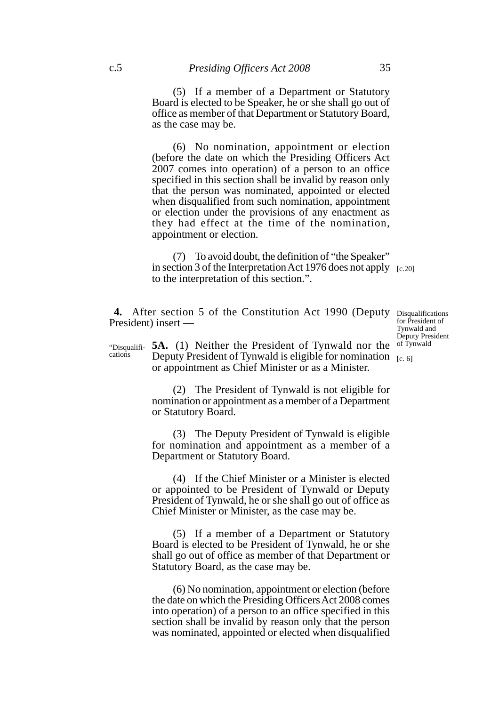(5) If a member of a Department or Statutory Board is elected to be Speaker, he or she shall go out of office as member of that Department or Statutory Board, as the case may be.

(6) No nomination, appointment or election (before the date on which the Presiding Officers Act 2007 comes into operation) of a person to an office specified in this section shall be invalid by reason only that the person was nominated, appointed or elected when disqualified from such nomination, appointment or election under the provisions of any enactment as they had effect at the time of the nomination, appointment or election.

(7) To avoid doubt, the definition of "the Speaker" in section 3 of the Interpretation Act 1976 does not apply [c.20] to the interpretation of this section.".

4. After section 5 of the Constitution Act 1990 (Deputy Disqualifications President) insert —

for President of Tynwald and Deputy President of Tynwald

**5A.** (1) Neither the President of Tynwald nor the Deputy President of Tynwald is eligible for nomination  $_{[c. 6]}$ or appointment as Chief Minister or as a Minister. "Disqualifications

> (2) The President of Tynwald is not eligible for nomination or appointment as a member of a Department or Statutory Board.

> (3) The Deputy President of Tynwald is eligible for nomination and appointment as a member of a Department or Statutory Board.

> (4) If the Chief Minister or a Minister is elected or appointed to be President of Tynwald or Deputy President of Tynwald, he or she shall go out of office as Chief Minister or Minister, as the case may be.

> (5) If a member of a Department or Statutory Board is elected to be President of Tynwald, he or she shall go out of office as member of that Department or Statutory Board, as the case may be.

> (6) No nomination, appointment or election (before the date on which the Presiding Officers Act 2008 comes into operation) of a person to an office specified in this section shall be invalid by reason only that the person was nominated, appointed or elected when disqualified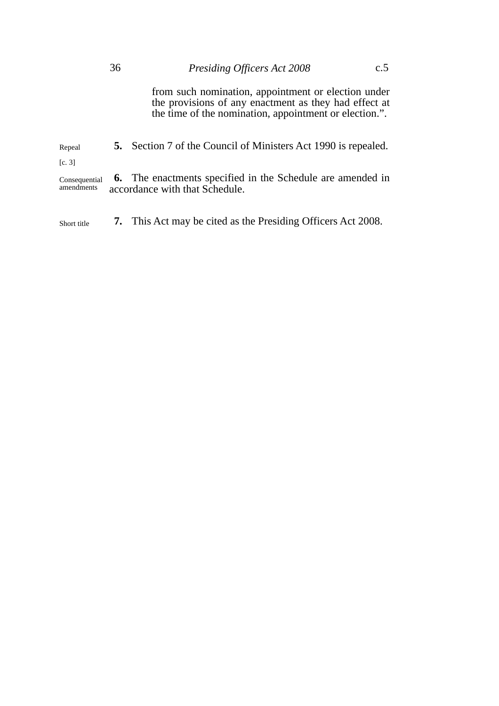from such nomination, appointment or election under the provisions of any enactment as they had effect at the time of the nomination, appointment or election.".

**5.** Section 7 of the Council of Ministers Act 1990 is repealed. Repeal [c. 3]

**6.** The enactments specified in the Schedule are amended in accordance with that Schedule. Consequential amendments

Short title **7.** This Act may be cited as the Presiding Officers Act 2008.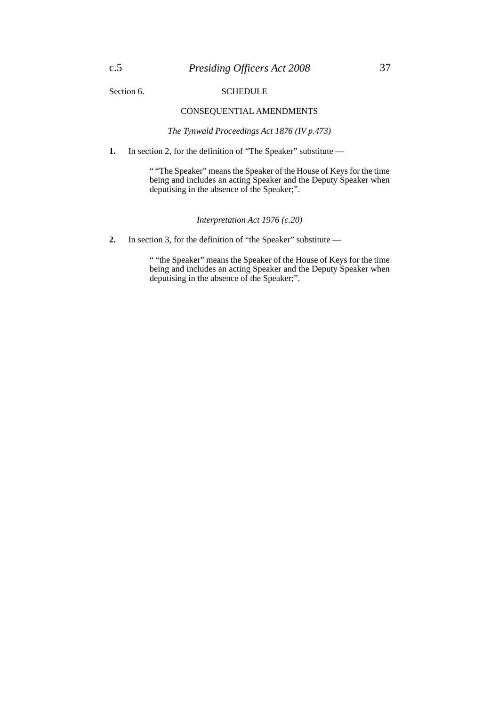#### Section 6. SCHEDULE

#### CONSEQUENTIAL AMENDMENTS

*The Tynwald Proceedings Act 1876 (IV p.473)*

**1.** In section 2, for the definition of "The Speaker" substitute —

" "The Speaker" means the Speaker of the House of Keys for the time being and includes an acting Speaker and the Deputy Speaker when deputising in the absence of the Speaker;".

*Interpretation Act 1976 (c.20)*

2. In section 3, for the definition of "the Speaker" substitute —

" "the Speaker" means the Speaker of the House of Keys for the time being and includes an acting Speaker and the Deputy Speaker when deputising in the absence of the Speaker;".